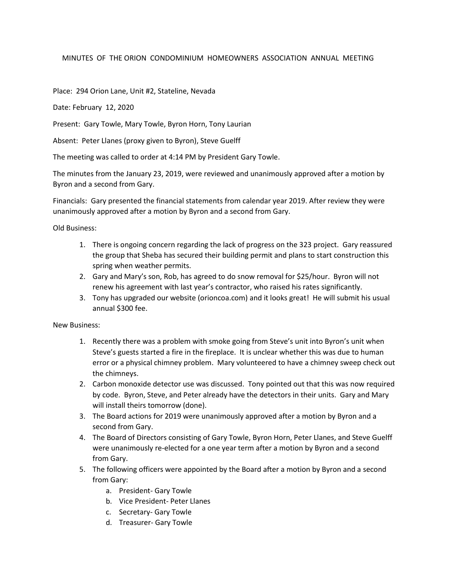## MINUTES OF THE ORION CONDOMINIUM HOMEOWNERS ASSOCIATION ANNUAL MEETING

Place: 294 Orion Lane, Unit #2, Stateline, Nevada

Date: February 12, 2020

Present: Gary Towle, Mary Towle, Byron Horn, Tony Laurian

Absent: Peter Llanes (proxy given to Byron), Steve Guelff

The meeting was called to order at 4:14 PM by President Gary Towle.

The minutes from the January 23, 2019, were reviewed and unanimously approved after a motion by Byron and a second from Gary.

Financials: Gary presented the financial statements from calendar year 2019. After review they were unanimously approved after a motion by Byron and a second from Gary.

Old Business:

- 1. There is ongoing concern regarding the lack of progress on the 323 project. Gary reassured the group that Sheba has secured their building permit and plans to start construction this spring when weather permits.
- 2. Gary and Mary's son, Rob, has agreed to do snow removal for \$25/hour. Byron will not renew his agreement with last year's contractor, who raised his rates significantly.
- 3. Tony has upgraded our website (orioncoa.com) and it looks great! He will submit his usual annual \$300 fee.

New Business:

- 1. Recently there was a problem with smoke going from Steve's unit into Byron's unit when Steve's guests started a fire in the fireplace. It is unclear whether this was due to human error or a physical chimney problem. Mary volunteered to have a chimney sweep check out the chimneys.
- 2. Carbon monoxide detector use was discussed. Tony pointed out that this was now required by code. Byron, Steve, and Peter already have the detectors in their units. Gary and Mary will install theirs tomorrow (done).
- 3. The Board actions for 2019 were unanimously approved after a motion by Byron and a second from Gary.
- 4. The Board of Directors consisting of Gary Towle, Byron Horn, Peter Llanes, and Steve Guelff were unanimously re-elected for a one year term after a motion by Byron and a second from Gary.
- 5. The following officers were appointed by the Board after a motion by Byron and a second from Gary:
	- a. President- Gary Towle
	- b. Vice President- Peter Llanes
	- c. Secretary- Gary Towle
	- d. Treasurer- Gary Towle